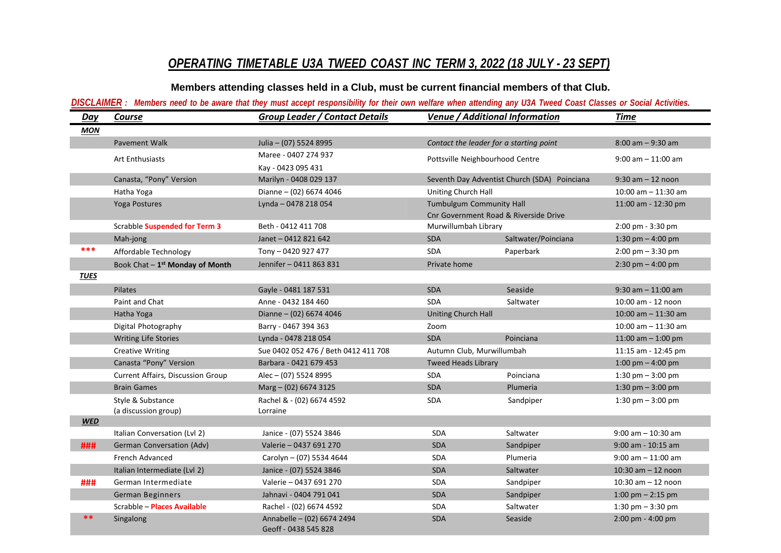## *OPERATING TIMETABLE U3A TWEED COAST INC TERM 3, 2022 (18 JULY - 23 SEPT)*

**Members attending classes held in a Club, must be current financial members of that Club.**

## DISCLAIMER: Members need to be aware that they must accept responsibility for their own welfare when attending any U3A Tweed Coast Classes or Social Activities.

| Day         | Course                                      | <b>Group Leader / Contact Details</b>              | <b>Venue / Additional Information</b>                             |                     | Time                                |
|-------------|---------------------------------------------|----------------------------------------------------|-------------------------------------------------------------------|---------------------|-------------------------------------|
| <b>MON</b>  |                                             |                                                    |                                                                   |                     |                                     |
|             | Pavement Walk                               | Julia - (07) 5524 8995                             | Contact the leader for a starting point                           |                     | $8:00$ am $-9:30$ am                |
|             | Art Enthusiasts                             | Maree - 0407 274 937                               | Pottsville Neighbourhood Centre                                   |                     | $9:00$ am $-11:00$ am               |
|             |                                             | Kay - 0423 095 431                                 |                                                                   |                     |                                     |
|             | Canasta, "Pony" Version                     | Marilyn - 0408 029 137                             | Seventh Day Adventist Church (SDA) Poinciana                      |                     | $9:30$ am $-12$ noon                |
|             | Hatha Yoga                                  | Dianne - (02) 6674 4046                            | Uniting Church Hall                                               |                     | 10:00 am $-$ 11:30 am               |
|             | Yoga Postures                               | Lynda - 0478 218 054                               | Tumbulgum Community Hall<br>Cnr Government Road & Riverside Drive |                     | 11:00 am - 12:30 pm                 |
|             | <b>Scrabble Suspended for Term 3</b>        | Beth - 0412 411 708                                | Murwillumbah Library                                              |                     | 2:00 pm - 3:30 pm                   |
|             | Mah-jong                                    | Janet - 0412 821 642                               | SDA                                                               | Saltwater/Poinciana | 1:30 pm $-$ 4:00 pm                 |
| ***         | Affordable Technology                       | Tony - 0420 927 477                                | <b>SDA</b>                                                        | Paperbark           | $2:00 \text{ pm} - 3:30 \text{ pm}$ |
|             | Book Chat - 1 <sup>st</sup> Monday of Month | Jennifer - 0411 863 831                            | Private home                                                      |                     | 2:30 pm $-$ 4:00 pm                 |
| <b>TUES</b> |                                             |                                                    |                                                                   |                     |                                     |
|             | Pilates                                     | Gayle - 0481 187 531                               | <b>SDA</b>                                                        | Seaside             | $9:30$ am $-11:00$ am               |
|             | Paint and Chat                              | Anne - 0432 184 460                                | <b>SDA</b>                                                        | Saltwater           | 10:00 am - 12 noon                  |
|             | Hatha Yoga                                  | Dianne - (02) 6674 4046                            | <b>Uniting Church Hall</b>                                        |                     | 10:00 am $-$ 11:30 am               |
|             | Digital Photography                         | Barry - 0467 394 363                               | Zoom                                                              |                     | $10:00$ am $-11:30$ am              |
|             | <b>Writing Life Stories</b>                 | Lynda - 0478 218 054                               | <b>SDA</b>                                                        | Poinciana           | 11:00 am $-$ 1:00 pm                |
|             | <b>Creative Writing</b>                     | Sue 0402 052 476 / Beth 0412 411 708               | Autumn Club, Murwillumbah                                         |                     | 11:15 am - 12:45 pm                 |
|             | Canasta "Pony" Version                      | Barbara - 0421 679 453                             | <b>Tweed Heads Library</b>                                        |                     | 1:00 pm $-$ 4:00 pm                 |
|             | <b>Current Affairs, Discussion Group</b>    | Alec - (07) 5524 8995                              | <b>SDA</b>                                                        | Poinciana           | 1:30 pm $-$ 3:00 pm                 |
|             | <b>Brain Games</b>                          | Marg $-$ (02) 6674 3125                            | <b>SDA</b>                                                        | Plumeria            | 1:30 pm $-$ 3:00 pm                 |
|             | Style & Substance<br>(a discussion group)   | Rachel & - (02) 6674 4592<br>Lorraine              | <b>SDA</b>                                                        | Sandpiper           | 1:30 pm $-$ 3:00 pm                 |
| <b>WED</b>  |                                             |                                                    |                                                                   |                     |                                     |
|             | Italian Conversation (Lvl 2)                | Janice - (07) 5524 3846                            | SDA                                                               | Saltwater           | $9:00$ am $-10:30$ am               |
| ###         | German Conversation (Adv)                   | Valerie - 0437 691 270                             | <b>SDA</b>                                                        | Sandpiper           | $9:00$ am - $10:15$ am              |
|             | French Advanced                             | Carolyn - (07) 5534 4644                           | <b>SDA</b>                                                        | Plumeria            | $9:00$ am $-11:00$ am               |
|             | Italian Intermediate (Lvl 2)                | Janice - (07) 5524 3846                            | SDA                                                               | Saltwater           | 10:30 am $-$ 12 noon                |
| ###         | German Intermediate                         | Valerie - 0437 691 270                             | <b>SDA</b>                                                        | Sandpiper           | 10:30 $am - 12$ noon                |
|             | German Beginners                            | Jahnavi - 0404 791 041                             | <b>SDA</b>                                                        | Sandpiper           | 1:00 pm $-$ 2:15 pm                 |
|             | Scrabble - Places Available                 | Rachel - (02) 6674 4592                            | <b>SDA</b>                                                        | Saltwater           | 1:30 pm $-$ 3:30 pm                 |
| **          | Singalong                                   | Annabelle - (02) 6674 2494<br>Geoff - 0438 545 828 | <b>SDA</b>                                                        | Seaside             | 2:00 pm - 4:00 pm                   |